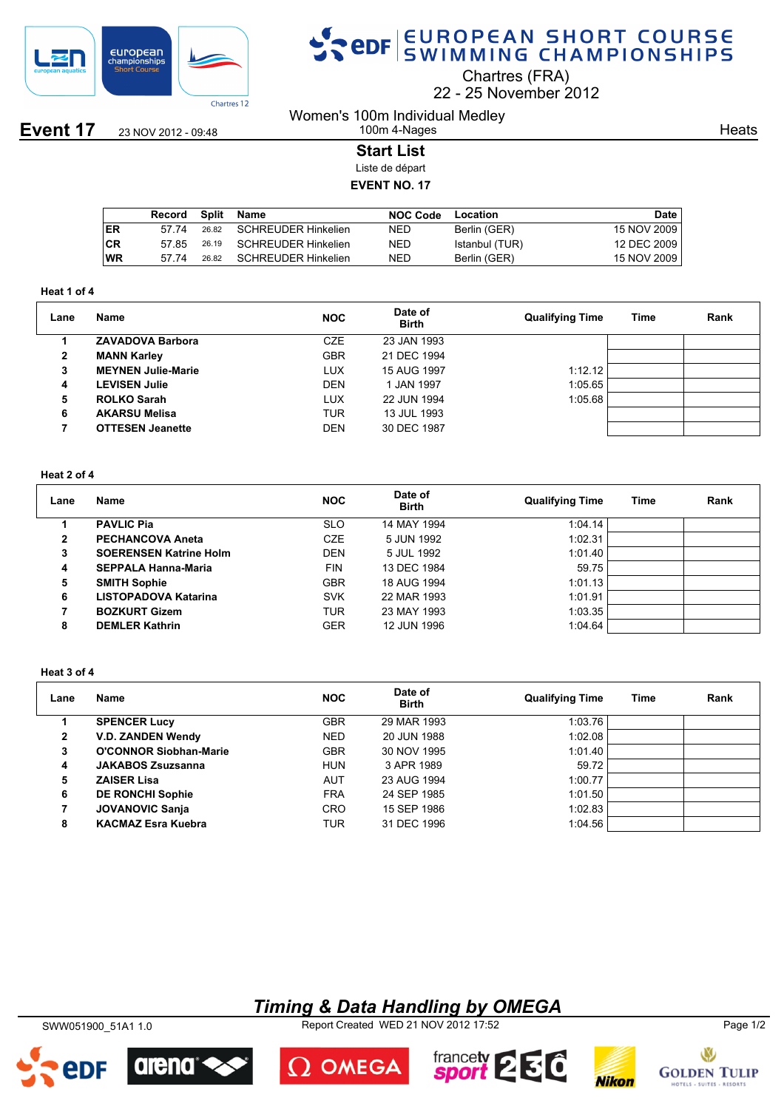

**Event 17** 23 NOV 2012 - 09:48

# SPOR SWIMMING CHAMPIONSHIPS

Chartres (FRA)

22 25 November 2012

Women's 100m Individual Medley 100m 4-Nages

**Heats** 

### **Start List**

Liste de départ

### **EVENT NO. 17**

|           | Record | <b>Split</b> | Name                      | <b>NOC Code</b> | Location       | Date        |
|-----------|--------|--------------|---------------------------|-----------------|----------------|-------------|
| ER        | 57.74  |              | 26.82 SCHREUDER Hinkelien | NED             | Berlin (GER)   | 15 NOV 2009 |
| <b>CR</b> | 57.85  | 26.19        | SCHREUDER Hinkelien       | NED             | Istanbul (TUR) | 12 DEC 2009 |
| WR        | 57.74  | 26.82        | SCHREUDER Hinkelien       | NED             | Berlin (GER)   | 15 NOV 2009 |

#### **Heat 1 of 4**

| Lane | <b>Name</b>               | <b>NOC</b> | Date of<br><b>Birth</b> | <b>Qualifying Time</b> | Time | Rank |
|------|---------------------------|------------|-------------------------|------------------------|------|------|
|      | <b>ZAVADOVA Barbora</b>   | <b>CZE</b> | 23 JAN 1993             |                        |      |      |
| 2    | <b>MANN Karley</b>        | <b>GBR</b> | 21 DEC 1994             |                        |      |      |
| 3    | <b>MEYNEN Julie-Marie</b> | <b>LUX</b> | 15 AUG 1997             | 1:12.12                |      |      |
| 4    | LEVISEN Julie             | <b>DEN</b> | 1 JAN 1997              | 1:05.65                |      |      |
| 5    | <b>ROLKO Sarah</b>        | LUX        | 22 JUN 1994             | 1:05.68                |      |      |
| 6    | <b>AKARSU Melisa</b>      | TUR        | 13 JUL 1993             |                        |      |      |
|      | <b>OTTESEN Jeanette</b>   | <b>DEN</b> | 30 DEC 1987             |                        |      |      |

### **Heat 2 of 4**

| Lane           | <b>Name</b>                   | <b>NOC</b> | Date of<br><b>Birth</b> | <b>Qualifying Time</b> | Time | Rank |
|----------------|-------------------------------|------------|-------------------------|------------------------|------|------|
|                | <b>PAVLIC Pia</b>             | <b>SLO</b> | 14 MAY 1994             | 1:04.14                |      |      |
| $\overline{2}$ | <b>PECHANCOVA Aneta</b>       | <b>CZE</b> | 5 JUN 1992              | 1:02.31                |      |      |
| 3              | <b>SOERENSEN Katrine Holm</b> | <b>DEN</b> | 5 JUL 1992              | 1:01.40                |      |      |
| 4              | <b>SEPPALA Hanna-Maria</b>    | <b>FIN</b> | 13 DEC 1984             | 59.75                  |      |      |
| 5              | <b>SMITH Sophie</b>           | <b>GBR</b> | 18 AUG 1994             | 1:01.13                |      |      |
| 6              | LISTOPADOVA Katarina          | <b>SVK</b> | 22 MAR 1993             | 1:01.91                |      |      |
|                | <b>BOZKURT Gizem</b>          | <b>TUR</b> | 23 MAY 1993             | 1:03.35                |      |      |
| 8              | <b>DEMLER Kathrin</b>         | <b>GER</b> | 12 JUN 1996             | 1:04.64                |      |      |

#### **Heat 3 of 4**

| Lane           | Name                          | <b>NOC</b> | Date of<br><b>Birth</b> | <b>Qualifying Time</b> | Time | Rank |
|----------------|-------------------------------|------------|-------------------------|------------------------|------|------|
|                | <b>SPENCER Lucy</b>           | <b>GBR</b> | 29 MAR 1993             | 1:03.76                |      |      |
| $\overline{2}$ | <b>V.D. ZANDEN Wendy</b>      | <b>NED</b> | 20 JUN 1988             | 1:02.08                |      |      |
| 3              | <b>O'CONNOR Siobhan-Marie</b> | <b>GBR</b> | 30 NOV 1995             | 1:01.40                |      |      |
| 4              | <b>JAKABOS Zsuzsanna</b>      | <b>HUN</b> | 3 APR 1989              | 59.72                  |      |      |
| 5              | <b>ZAISER Lisa</b>            | <b>AUT</b> | 23 AUG 1994             | 1:00.77                |      |      |
| 6              | <b>DE RONCHI Sophie</b>       | <b>FRA</b> | 24 SEP 1985             | 1:01.50                |      |      |
| 7              | <b>JOVANOVIC Sanja</b>        | <b>CRO</b> | 15 SEP 1986             | 1:02.83                |      |      |
| 8              | <b>KACMAZ Esra Kuebra</b>     | TUR        | 31 DEC 1996             | 1:04.56                |      |      |

## *Timing & Data Handling by OMEGA*

SWW051900\_51A1 1.0 Report Created WED 21 NOV 2012 17:52 Page 1/2



arena

edf